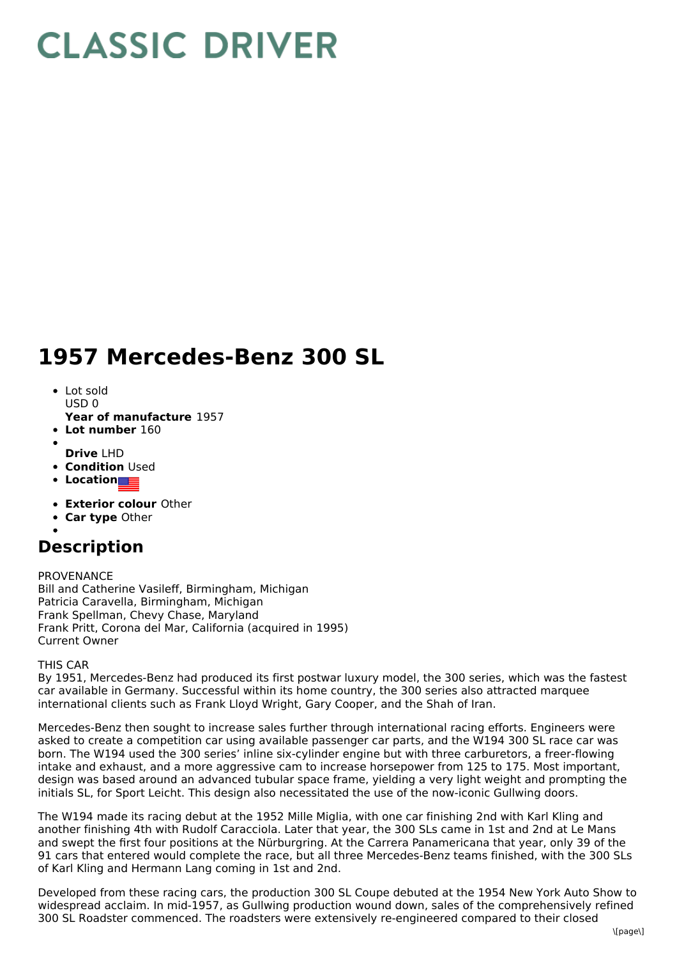# **CLASSIC DRIVER**

# **1957 Mercedes-Benz 300 SL**

- Lot sold  $USDO$
- **Year of manufacture** 1957
- **Lot number** 160
- **Drive** LHD
- **Condition Used**
- **Location**
- **Exterior colour** Other
- **Car type** Other
- 

## **Description**

### PROVENANCE

Bill and Catherine Vasileff, Birmingham, Michigan Patricia Caravella, Birmingham, Michigan Frank Spellman, Chevy Chase, Maryland Frank Pritt, Corona del Mar, California (acquired in 1995) Current Owner

### THIS CAR

By 1951, Mercedes-Benz had produced its first postwar luxury model, the 300 series, which was the fastest car available in Germany. Successful within its home country, the 300 series also attracted marquee international clients such as Frank Lloyd Wright, Gary Cooper, and the Shah of Iran.

Mercedes-Benz then sought to increase sales further through international racing efforts. Engineers were asked to create a competition car using available passenger car parts, and the W194 300 SL race car was born. The W194 used the 300 series' inline six-cylinder engine but with three carburetors, a freer-flowing intake and exhaust, and a more aggressive cam to increase horsepower from 125 to 175. Most important, design was based around an advanced tubular space frame, yielding a very light weight and prompting the initials SL, for Sport Leicht. This design also necessitated the use of the now-iconic Gullwing doors.

The W194 made its racing debut at the 1952 Mille Miglia, with one car finishing 2nd with Karl Kling and another finishing 4th with Rudolf Caracciola. Later that year, the 300 SLs came in 1st and 2nd at Le Mans and swept the first four positions at the Nürburgring. At the Carrera Panamericana that year, only 39 of the 91 cars that entered would complete the race, but all three Mercedes-Benz teams finished, with the 300 SLs of Karl Kling and Hermann Lang coming in 1st and 2nd.

Developed from these racing cars, the production 300 SL Coupe debuted at the 1954 New York Auto Show to widespread acclaim. In mid-1957, as Gullwing production wound down, sales of the comprehensively refined 300 SL Roadster commenced. The roadsters were extensively re-engineered compared to their closed